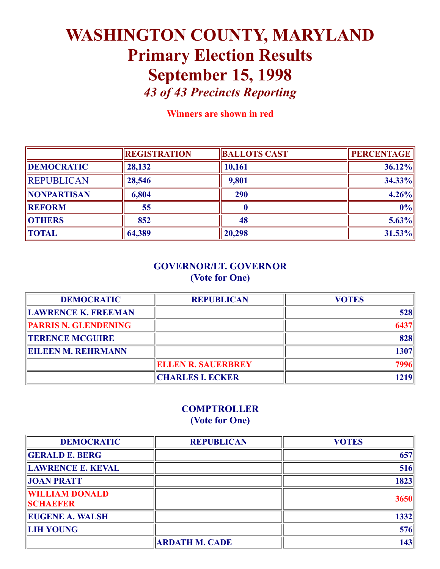# WASHINGTON COUNTY, MARYLAND Primary Election Results September 15, 1998 *43 of 43 Precincts Reporting*

Winners are shown in red

|                    | <b>REGISTRATION</b> | <b>BALLOTS CAST</b> | <b>PERCENTAGE</b> |
|--------------------|---------------------|---------------------|-------------------|
| <b>DEMOCRATIC</b>  | 28,132              | 10,161              | 36.12%            |
| <b>REPUBLICAN</b>  | 28,546              | 9,801               | $34.33\%$         |
| <b>NONPARTISAN</b> | 6,804               | 290                 | $4.26\%$          |
| <b>REFORM</b>      | 55                  |                     | $ 0\% $           |
| <b>OTHERS</b>      | 852                 | 48                  | $5.63\%$          |
| <b>TOTAL</b>       | 64,389              | 20,298              | $31.53\%$         |

### GOVERNOR/LT. GOVERNOR (Vote for One)

| <b>DEMOCRATIC</b>           | <b>REPUBLICAN</b>         | <b>VOTES</b> |
|-----------------------------|---------------------------|--------------|
| LAWRENCE K. FREEMAN         |                           | 528          |
| <b>PARRIS N. GLENDENING</b> |                           |              |
| <b>TERENCE MCGUIRE</b>      |                           | 828          |
| <b>EILEEN M. REHRMANN</b>   |                           | 1307         |
|                             | <b>ELLEN R. SAUERBREY</b> |              |
|                             | <b>CHARLES I. ECKER</b>   | 1219         |

### **COMPTROLLER** (Vote for One)

| <b>DEMOCRATIC</b>                        | <b>REPUBLICAN</b>     | <b>VOTES</b> |
|------------------------------------------|-----------------------|--------------|
| <b>GERALD E. BERG</b>                    |                       | 657          |
| <b>LAWRENCE E. KEVAL</b>                 |                       | 516          |
| <b>JOAN PRATT</b>                        |                       | 1823         |
| <b>WILLIAM DONALD</b><br><b>SCHABFER</b> |                       | 3650         |
| <b>EUGENE A. WALSH</b>                   |                       | 1332         |
| <b>LIH YOUNG</b>                         |                       | 576          |
|                                          | <b>ARDATH M. CADE</b> | 143          |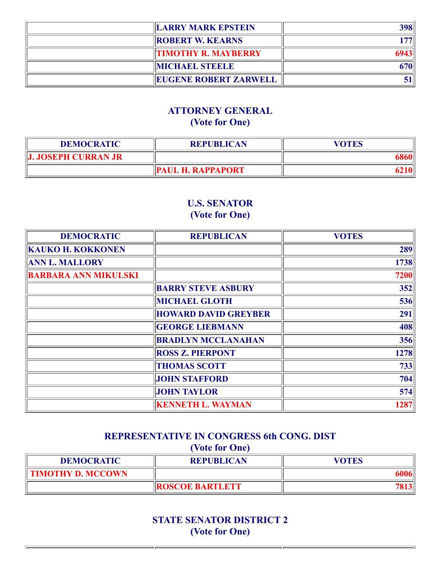| <b>LARRY MARK EPSTEIN</b>    | 398 |
|------------------------------|-----|
| <b>ROBERT W. KEARNS</b>      |     |
| <b>TIMOTHY R. MAYBERRY</b>   |     |
| <b>MICHAEL STEELE</b>        |     |
| <b>EUGENE ROBERT ZARWELL</b> |     |

### ATTORNEY GENERAL (Vote for One)

| <b>DEMOCRATIC</b>   | <b>REPUBLICAN</b>        | VOTES |
|---------------------|--------------------------|-------|
| J. JOSEPH CURRAN JR |                          |       |
|                     | <b>PAUL H. RAPPAPORT</b> |       |

## U.S. SENATOR (Vote for One)

| <b>DEMOCRATIC</b>           | <b>REPUBLICAN</b>           | <b>VOTES</b> |
|-----------------------------|-----------------------------|--------------|
| <b>KAUKO H. KOKKONEN</b>    |                             | 289          |
| <b>ANN L. MALLORY</b>       |                             | 1738         |
| <b>BARBARA ANN MIKULSKI</b> |                             | 7200         |
|                             | <b>BARRY STEVE ASBURY</b>   | 352          |
|                             | <b>MICHAEL GLOTH</b>        | 536          |
|                             | <b>HOWARD DAVID GREYBER</b> | 291          |
|                             | <b>GEORGE LIEBMANN</b>      | 408          |
|                             | <b>BRADLYN MCCLANAHAN</b>   | 356          |
|                             | <b>ROSS Z. PIERPONT</b>     | 1278         |
|                             | <b>THOMAS SCOTT</b>         | 733          |
|                             | <b>JOHN STAFFORD</b>        | 704          |
|                             | <b>JOHN TAYLOR</b>          | 574          |
|                             | <b>KENNETH L. WAYMAN</b>    | 1287         |

## REPRESENTATIVE IN CONGRESS 6th CONG. DIST (Vote for One)

| <b>DEMOCRATIC</b>        | <b>REPUBLICAN</b>      | VOTES |
|--------------------------|------------------------|-------|
| <b>TIMOTHY D. MCCOWN</b> |                        |       |
|                          | <b>ROSCOE BARTLETT</b> |       |

STATE SENATOR DISTRICT 2 (Vote for One)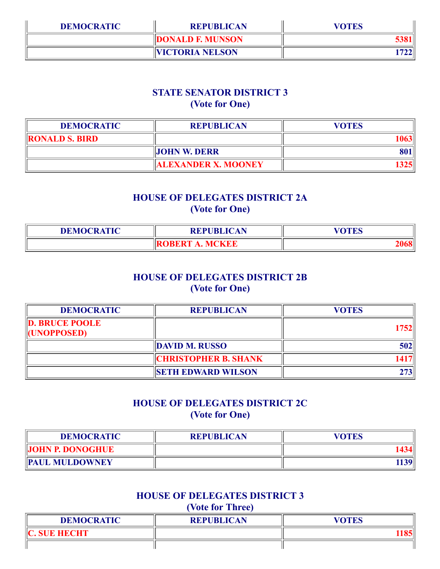| <b>DEMOCRATIC</b> | <b>REPUBLICAN</b>       | <b>VOTES</b> |
|-------------------|-------------------------|--------------|
|                   | <b>DONALD F. MUNSON</b> |              |
|                   | <b>VICTORIA NELSON</b>  |              |

### STATE SENATOR DISTRICT 3 (Vote for One)

| <b>DEMOCRATIC</b>     | <b>REPUBLICAN</b>          | <b>VOTES</b> |
|-----------------------|----------------------------|--------------|
| <b>RONALD S. BIRD</b> |                            |              |
|                       | <b>JOHN W. DERR</b>        |              |
|                       | <b>ALEXANDER X. MOONEY</b> | 325          |

### HOUSE OF DELEGATES DISTRICT 2A (Vote for One)

| <b>DEMOCRATIC</b> | <b>REPUBLICAN</b>                           | $U\bigcap T\mathbb{R} \cap \mathbb{R}$<br><b>LD</b> |
|-------------------|---------------------------------------------|-----------------------------------------------------|
|                   | <b>MCKEE</b><br>ікк.к<br>$\mathbf{\Lambda}$ |                                                     |

### HOUSE OF DELEGATES DISTRICT 2B (Vote for One)

| <b>DEMOCRATIC</b>                           | <b>REPUBLICAN</b>           | <b>VOTES</b> |
|---------------------------------------------|-----------------------------|--------------|
| <b>D. BRUCE POOLE</b><br><b>(UNOPPOSED)</b> |                             | 1752         |
|                                             | <b>DAVID M. RUSSO</b>       | 502          |
|                                             | <b>CHRISTOPHER B. SHANK</b> |              |
|                                             | <b>SETH EDWARD WILSON</b>   |              |

### HOUSE OF DELEGATES DISTRICT 2C (Vote for One)

| <b>DEMOCRATIC</b>       | <b>REPUBLICAN</b> | VOTES |
|-------------------------|-------------------|-------|
| <b>JOHN P. DONOGHUE</b> |                   |       |
| <b>PAUL MULDOWNEY</b>   |                   | 1139  |

### HOUSE OF DELEGATES DISTRICT 3 (Vote for Three)

| <b>DEMOCRATIC</b> | <b>REPUBLICAN</b> | VOTES |
|-------------------|-------------------|-------|
| IC. SUE HECHT     |                   |       |
|                   |                   |       |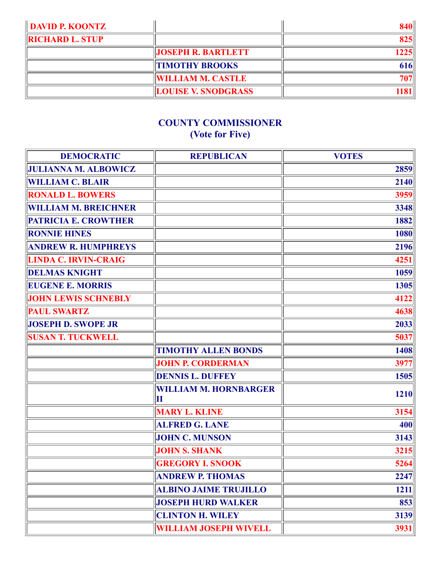| <b>DAVID P. KOONTZ</b> |                            |      |
|------------------------|----------------------------|------|
| <b>RICHARD L. STUP</b> |                            | 8251 |
|                        | <b>JOSEPH R. BARTLETT</b>  | 1225 |
|                        | <b>TIMOTHY BROOKS</b>      | 616  |
|                        | <b>WILLIAM M. CASTLE</b>   | 707  |
|                        | <b>LOUISE V. SNODGRASS</b> |      |

# COUNTY COMMISSIONER (Vote for Five)

| <b>DEMOCRATIC</b>           | <b>REPUBLICAN</b>                 | <b>VOTES</b> |
|-----------------------------|-----------------------------------|--------------|
| <b>JULIANNA M. ALBOWICZ</b> |                                   | 2859         |
| <b>WILLIAM C. BLAIR</b>     |                                   | 2140         |
| <b>RONALD L. BOWERS</b>     |                                   | 3959         |
| <b>WILLIAM M. BREICHNER</b> |                                   | 3348         |
| <b>PATRICIA E. CROWTHER</b> |                                   | 1882         |
| <b>RONNIE HINES</b>         |                                   | 1080         |
| <b>ANDREW R. HUMPHREYS</b>  |                                   | 2196         |
| <b>LINDA C. IRVIN-CRAIG</b> |                                   | 4251         |
| <b>DELMAS KNIGHT</b>        |                                   | 1059         |
| <b>EUGENE E. MORRIS</b>     |                                   | 1305         |
| <b>JOHN LEWIS SCHNEBLY</b>  |                                   | 4122         |
| <b>PAUL SWARTZ</b>          |                                   | 4638         |
| <b>JOSEPH D. SWOPE JR</b>   |                                   | 2033         |
| <b>SUSAN T. TUCKWELL</b>    |                                   | 5037         |
|                             | <b>TIMOTHY ALLEN BONDS</b>        | 1408         |
|                             | <b>JOHN P. CORDERMAN</b>          | 3977         |
|                             | <b>DENNIS L. DUFFEY</b>           | 1505         |
|                             | <b>WILLIAM M. HORNBARGER</b><br>Ш | 1210         |
|                             | <b>MARY L. KLINE</b>              | 3154         |
|                             | <b>ALFRED G. LANE</b>             | 400          |
|                             | <b>JOHN C. MUNSON</b>             | 3143         |
|                             | <b>JOHN S. SHANK</b>              | 3215         |
|                             | <b>GREGORY I. SNOOK</b>           | 5264         |
|                             | <b>ANDREW P. THOMAS</b>           | 2247         |
|                             | <b>ALBINO JAIME TRUJILLO</b>      | 1211         |
|                             | <b>JOSEPH HURD WALKER</b>         | 853          |
|                             | <b>CLINTON H. WILEY</b>           | 3139         |
|                             | <b>WILLIAM JOSEPH WIVELL</b>      | 3931         |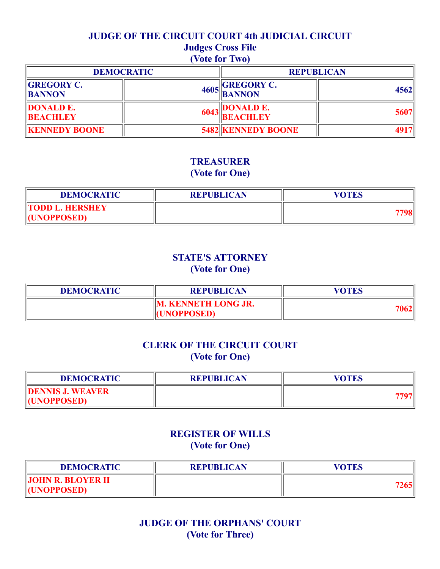### JUDGE OF THE CIRCUIT COURT 4th JUDICIAL CIRCUIT

# Judges Cross File

## (Vote for Two)

|                                     | <b>DEMOCRATIC</b> | <b>REPUBLICAN</b>                   |      |
|-------------------------------------|-------------------|-------------------------------------|------|
| <b>GREGORY C.</b><br><b>BANNON</b>  |                   | $\Box$ GREGORY C.<br>$4605$ BANNON  | 4562 |
| <b>DONALD E.</b><br><b>BEACHLEY</b> | 6043              | <b>DONALD E.</b><br><b>BEACHLEY</b> | 5607 |
| <b>KENNEDY BOONE</b>                |                   | <b>5482 KENNEDY BOONE</b>           |      |

### TREASURER (Vote for One)

| <b>DEMOCRATIC</b>      | <b>REPUBLICAN</b> | VOTES |
|------------------------|-------------------|-------|
| <b>TODD L. HERSHEY</b> |                   |       |
| <b>HUNOPPOSED)</b>     |                   |       |

### STATE'S ATTORNEY (Vote for One)

| <b>DEMOCRATIC</b> | <b>REPUBLICAN</b>                                | VOTES |
|-------------------|--------------------------------------------------|-------|
|                   | <b>M. KENNETH LONG JR.</b><br><b>ICINOPPOSED</b> | 7062  |

### CLERK OF THE CIRCUIT COURT (Vote for One)

| <b>DEMOCRATIC</b>       | <b>REPUBLICAN</b> | VOTES |
|-------------------------|-------------------|-------|
| <b>DENNIS J. WEAVER</b> |                   |       |
| <b>HUNOPPOSED)</b>      |                   |       |

### REGISTER OF WILLS (Vote for One)

| <b>DEMOCRATIC</b>                              | <b>REPUBLICAN</b> | VOTES |
|------------------------------------------------|-------------------|-------|
| <b>JOHN R. BLOYER II</b><br><b>HUNOPPOSED)</b> |                   | 1265  |

### JUDGE OF THE ORPHANS' COURT (Vote for Three)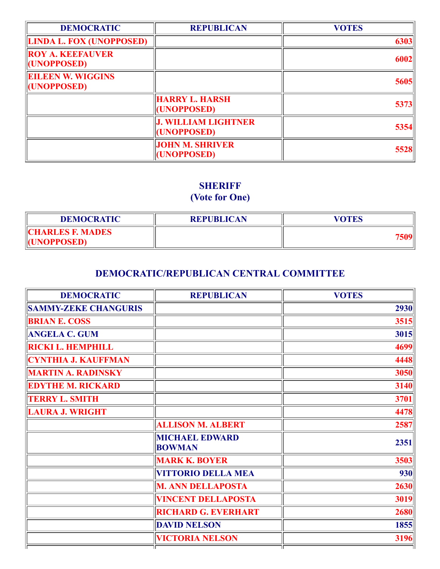| <b>DEMOCRATIC</b>                       | <b>REPUBLICAN</b>                         | <b>VOTES</b> |
|-----------------------------------------|-------------------------------------------|--------------|
| <b>LINDA L. FOX (UNOPPOSED)</b>         |                                           | 6303         |
| <b>ROY A. KEEFAUVER</b><br>(UNOPPOSED)  |                                           | 6002         |
| <b>EILEEN W. WIGGINS</b><br>(UNOPPOSED) |                                           | 5605         |
|                                         | <b>HARRY L. HARSH</b><br>(UNOPPOSED)      | 5373         |
|                                         | <b>J. WILLIAM LIGHTNER</b><br>(UNOPPOSED) | 5354         |
|                                         | <b>JOHN M. SHRIVER</b><br>(UNOPPOSED)     | 5528         |

# **SHERIFF**

# (Vote for One)

| <b>DEMOCRATIC</b>                             | <b>REPUBLICAN</b> | <b>VOTES</b> |
|-----------------------------------------------|-------------------|--------------|
| <b>CHARLES F. MADES</b><br><b>HUNOPPOSED)</b> |                   |              |

### DEMOCRATIC/REPUBLICAN CENTRAL COMMITTEE

| <b>DEMOCRATIC</b>           | <b>REPUBLICAN</b>                      | <b>VOTES</b> |
|-----------------------------|----------------------------------------|--------------|
| <b>SAMMY-ZEKE CHANGURIS</b> |                                        | 2930         |
| <b>BRIAN E. COSS</b>        |                                        | 3515         |
| <b>ANGELA C. GUM</b>        |                                        | 3015         |
| <b>RICKI L. HEMPHILL</b>    |                                        | 4699         |
| <b>CYNTHIA J. KAUFFMAN</b>  |                                        | 4448         |
| <b>MARTIN A. RADINSKY</b>   |                                        | 3050         |
| <b>EDYTHE M. RICKARD</b>    |                                        | 3140         |
| <b>TERRY L. SMITH</b>       |                                        | 3701         |
| <b>LAURA J. WRIGHT</b>      |                                        | 4478         |
|                             | <b>ALLISON M. ALBERT</b>               | 2587         |
|                             | <b>MICHAEL EDWARD</b><br><b>BOWMAN</b> | 2351         |
|                             | <b>MARK K. BOYER</b>                   | 3503         |
|                             | <b>VITTORIO DELLA MEA</b>              | 930          |
|                             | <b>M. ANN DELLAPOSTA</b>               | 2630         |
|                             | <b>VINCENT DELLAPOSTA</b>              | 3019         |
|                             | <b>RICHARD G. EVERHART</b>             | 2680         |
|                             | <b>DAVID NELSON</b>                    | 1855         |
|                             | <b>VICTORIA NELSON</b>                 | 3196         |
|                             |                                        |              |